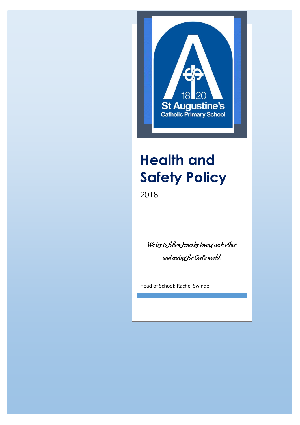

# **Health and Safety Policy**

2018

We try to follow Jesus by loving each other and caring for God's world.

Head of School: Rachel Swindell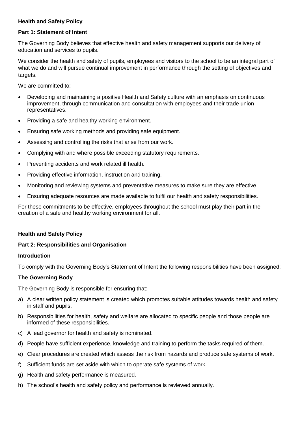## **Health and Safety Policy**

#### **Part 1: Statement of Intent**

The Governing Body believes that effective health and safety management supports our delivery of education and services to pupils.

We consider the health and safety of pupils, employees and visitors to the school to be an integral part of what we do and will pursue continual improvement in performance through the setting of objectives and targets.

We are committed to:

- Developing and maintaining a positive Health and Safety culture with an emphasis on continuous improvement, through communication and consultation with employees and their trade union representatives.
- Providing a safe and healthy working environment.
- Ensuring safe working methods and providing safe equipment.
- Assessing and controlling the risks that arise from our work.
- Complying with and where possible exceeding statutory requirements.
- Preventing accidents and work related ill health.
- Providing effective information, instruction and training.
- Monitoring and reviewing systems and preventative measures to make sure they are effective.
- Ensuring adequate resources are made available to fulfil our health and safety responsibilities.

For these commitments to be effective, employees throughout the school must play their part in the creation of a safe and healthy working environment for all.

#### **Health and Safety Policy**

#### **Part 2: Responsibilities and Organisation**

#### **Introduction**

To comply with the Governing Body's Statement of Intent the following responsibilities have been assigned:

#### **The Governing Body**

The Governing Body is responsible for ensuring that:

- a) A clear written policy statement is created which promotes suitable attitudes towards health and safety in staff and pupils.
- b) Responsibilities for health, safety and welfare are allocated to specific people and those people are informed of these responsibilities.
- c) A lead governor for health and safety is nominated.
- d) People have sufficient experience, knowledge and training to perform the tasks required of them.
- e) Clear procedures are created which assess the risk from hazards and produce safe systems of work.
- f) Sufficient funds are set aside with which to operate safe systems of work.
- g) Health and safety performance is measured.
- h) The school's health and safety policy and performance is reviewed annually.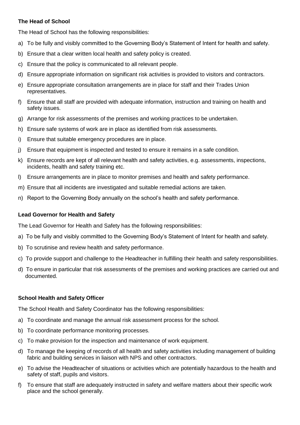## **The Head of School**

The Head of School has the following responsibilities:

- a) To be fully and visibly committed to the Governing Body's Statement of Intent for health and safety.
- b) Ensure that a clear written local health and safety policy is created.
- c) Ensure that the policy is communicated to all relevant people.
- d) Ensure appropriate information on significant risk activities is provided to visitors and contractors.
- e) Ensure appropriate consultation arrangements are in place for staff and their Trades Union representatives.
- f) Ensure that all staff are provided with adequate information, instruction and training on health and safety issues.
- g) Arrange for risk assessments of the premises and working practices to be undertaken.
- h) Ensure safe systems of work are in place as identified from risk assessments.
- i) Ensure that suitable emergency procedures are in place.
- j) Ensure that equipment is inspected and tested to ensure it remains in a safe condition.
- k) Ensure records are kept of all relevant health and safety activities, e.g. assessments, inspections, incidents, health and safety training etc.
- l) Ensure arrangements are in place to monitor premises and health and safety performance.
- m) Ensure that all incidents are investigated and suitable remedial actions are taken.
- n) Report to the Governing Body annually on the school's health and safety performance.

## **Lead Governor for Health and Safety**

The Lead Governor for Health and Safety has the following responsibilities:

- a) To be fully and visibly committed to the Governing Body's Statement of Intent for health and safety.
- b) To scrutinise and review health and safety performance.
- c) To provide support and challenge to the Headteacher in fulfilling their health and safety responsibilities.
- d) To ensure in particular that risk assessments of the premises and working practices are carried out and documented.

## **School Health and Safety Officer**

The School Health and Safety Coordinator has the following responsibilities:

- a) To coordinate and manage the annual risk assessment process for the school.
- b) To coordinate performance monitoring processes.
- c) To make provision for the inspection and maintenance of work equipment.
- d) To manage the keeping of records of all health and safety activities including management of building fabric and building services in liaison with NPS and other contractors.
- e) To advise the Headteacher of situations or activities which are potentially hazardous to the health and safety of staff, pupils and visitors.
- f) To ensure that staff are adequately instructed in safety and welfare matters about their specific work place and the school generally.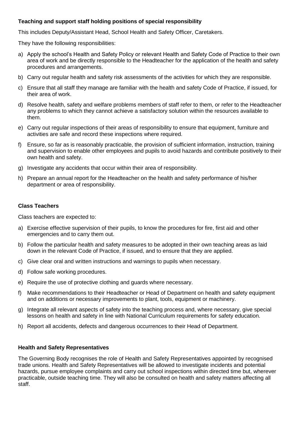## **Teaching and support staff holding positions of special responsibility**

This includes Deputy/Assistant Head, School Health and Safety Officer, Caretakers.

They have the following responsibilities:

- a) Apply the school's Health and Safety Policy or relevant Health and Safety Code of Practice to their own area of work and be directly responsible to the Headteacher for the application of the health and safety procedures and arrangements.
- b) Carry out regular health and safety risk assessments of the activities for which they are responsible.
- c) Ensure that all staff they manage are familiar with the health and safety Code of Practice, if issued, for their area of work.
- d) Resolve health, safety and welfare problems members of staff refer to them, or refer to the Headteacher any problems to which they cannot achieve a satisfactory solution within the resources available to them.
- e) Carry out regular inspections of their areas of responsibility to ensure that equipment, furniture and activities are safe and record these inspections where required.
- f) Ensure, so far as is reasonably practicable, the provision of sufficient information, instruction, training and supervision to enable other employees and pupils to avoid hazards and contribute positively to their own health and safety.
- g) Investigate any accidents that occur within their area of responsibility.
- h) Prepare an annual report for the Headteacher on the health and safety performance of his/her department or area of responsibility.

#### **Class Teachers**

Class teachers are expected to:

- a) Exercise effective supervision of their pupils, to know the procedures for fire, first aid and other emergencies and to carry them out.
- b) Follow the particular health and safety measures to be adopted in their own teaching areas as laid down in the relevant Code of Practice, if issued, and to ensure that they are applied.
- c) Give clear oral and written instructions and warnings to pupils when necessary.
- d) Follow safe working procedures.
- e) Require the use of protective clothing and guards where necessary.
- f) Make recommendations to their Headteacher or Head of Department on health and safety equipment and on additions or necessary improvements to plant, tools, equipment or machinery.
- g) Integrate all relevant aspects of safety into the teaching process and, where necessary, give special lessons on health and safety in line with National Curriculum requirements for safety education.
- h) Report all accidents, defects and dangerous occurrences to their Head of Department.

## **Health and Safety Representatives**

The Governing Body recognises the role of Health and Safety Representatives appointed by recognised trade unions. Health and Safety Representatives will be allowed to investigate incidents and potential hazards, pursue employee complaints and carry out school inspections within directed time but, wherever practicable, outside teaching time. They will also be consulted on health and safety matters affecting all staff.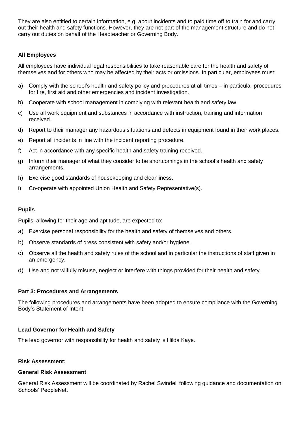They are also entitled to certain information, e.g. about incidents and to paid time off to train for and carry out their health and safety functions. However, they are not part of the management structure and do not carry out duties on behalf of the Headteacher or Governing Body.

## **All Employees**

All employees have individual legal responsibilities to take reasonable care for the health and safety of themselves and for others who may be affected by their acts or omissions. In particular, employees must:

- a) Comply with the school's health and safety policy and procedures at all times in particular procedures for fire, first aid and other emergencies and incident investigation.
- b) Cooperate with school management in complying with relevant health and safety law.
- c) Use all work equipment and substances in accordance with instruction, training and information received.
- d) Report to their manager any hazardous situations and defects in equipment found in their work places.
- e) Report all incidents in line with the incident reporting procedure.
- f) Act in accordance with any specific health and safety training received.
- g) Inform their manager of what they consider to be shortcomings in the school's health and safety arrangements.
- h) Exercise good standards of housekeeping and cleanliness.
- i) Co-operate with appointed Union Health and Safety Representative(s).

## **Pupils**

Pupils, allowing for their age and aptitude, are expected to:

- a) Exercise personal responsibility for the health and safety of themselves and others.
- b) Observe standards of dress consistent with safety and/or hygiene.
- c) Observe all the health and safety rules of the school and in particular the instructions of staff given in an emergency.
- d) Use and not wilfully misuse, neglect or interfere with things provided for their health and safety.

## **Part 3: Procedures and Arrangements**

The following procedures and arrangements have been adopted to ensure compliance with the Governing Body's Statement of Intent.

## **Lead Governor for Health and Safety**

The lead governor with responsibility for health and safety is Hilda Kaye.

## **Risk Assessment:**

## **General Risk Assessment**

General Risk Assessment will be coordinated by Rachel Swindell following guidance and documentation on Schools' PeopleNet.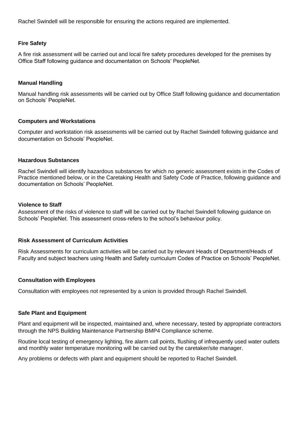Rachel Swindell will be responsible for ensuring the actions required are implemented.

#### **Fire Safety**

A fire risk assessment will be carried out and local fire safety procedures developed for the premises by Office Staff following guidance and documentation on Schools' PeopleNet.

#### **Manual Handling**

Manual handling risk assessments will be carried out by Office Staff following guidance and documentation on Schools' PeopleNet.

#### **Computers and Workstations**

Computer and workstation risk assessments will be carried out by Rachel Swindell following guidance and documentation on Schools' PeopleNet.

#### **Hazardous Substances**

Rachel Swindell will identify hazardous substances for which no generic assessment exists in the Codes of Practice mentioned below, or in the Caretaking Health and Safety Code of Practice, following guidance and documentation on Schools' PeopleNet.

#### **Violence to Staff**

Assessment of the risks of violence to staff will be carried out by Rachel Swindell following guidance on Schools' PeopleNet. This assessment cross-refers to the school's behaviour policy.

## **Risk Assessment of Curriculum Activities**

Risk Assessments for curriculum activities will be carried out by relevant Heads of Department/Heads of Faculty and subject teachers using Health and Safety curriculum Codes of Practice on Schools' PeopleNet.

## **Consultation with Employees**

Consultation with employees not represented by a union is provided through Rachel Swindell.

#### **Safe Plant and Equipment**

Plant and equipment will be inspected, maintained and, where necessary, tested by appropriate contractors through the NPS Building Maintenance Partnership BMP4 Compliance scheme.

Routine local testing of emergency lighting, fire alarm call points, flushing of infrequently used water outlets and monthly water temperature monitoring will be carried out by the caretaker/site manager.

Any problems or defects with plant and equipment should be reported to Rachel Swindell.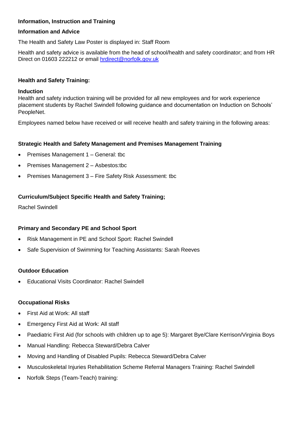## **Information, Instruction and Training**

## **Information and Advice**

The Health and Safety Law Poster is displayed in: Staff Room

Health and safety advice is available from the head of school/health and safety coordinator; and from HR Direct on 01603 222212 or email [hrdirect@norfolk.gov.uk](mailto:hrdirect@norfolk.gov.uk)

## **Health and Safety Training:**

#### **Induction**

Health and safety induction training will be provided for all new employees and for work experience placement students by Rachel Swindell following guidance and documentation on Induction on Schools' PeopleNet.

Employees named below have received or will receive health and safety training in the following areas:

## **Strategic Health and Safety Management and Premises Management Training**

- Premises Management 1 General: tbc
- Premises Management 2 Asbestos:tbc
- Premises Management 3 Fire Safety Risk Assessment: tbc

## **Curriculum/Subject Specific Health and Safety Training;**

Rachel Swindell

## **Primary and Secondary PE and School Sport**

- Risk Management in PE and School Sport: Rachel Swindell
- Safe Supervision of Swimming for Teaching Assistants: Sarah Reeves

## **Outdoor Education**

Educational Visits Coordinator: Rachel Swindell

## **Occupational Risks**

- First Aid at Work: All staff
- Emergency First Aid at Work: All staff
- Paediatric First Aid (for schools with children up to age 5): Margaret Bye/Clare Kerrison/Virginia Boys
- Manual Handling: Rebecca Steward/Debra Calver
- Moving and Handling of Disabled Pupils: Rebecca Steward/Debra Calver
- Musculoskeletal Injuries Rehabilitation Scheme Referral Managers Training: Rachel Swindell
- Norfolk Steps (Team-Teach) training: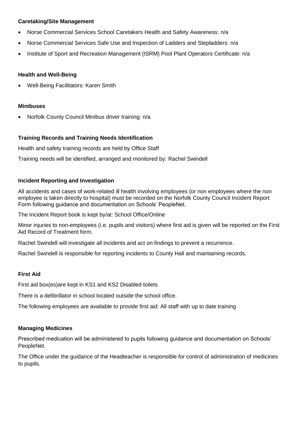## **Caretaking/Site Management**

- Norse Commercial Services School Caretakers Health and Safety Awareness: n/a
- Norse Commercial Services Safe Use and Inspection of Ladders and Stepladders: n/a
- Institute of Sport and Recreation Management (ISRM) Pool Plant Operators Certificate: n/a

## **Health and Well-Being**

Well-Being Facilitators: Karen Smith

## **Minibuses**

Norfolk County Council Minibus driver training: n/a

## **Training Records and Training Needs Identification**

Health and safety training records are held by Office Staff

Training needs will be identified, arranged and monitored by: Rachel Swindell

## **Incident Reporting and Investigation**

All accidents and cases of work-related ill health involving employees (or non employees where the non employee is taken directly to hospital) must be recorded on the Norfolk County Council Incident Report Form following guidance and documentation on Schools' PeopleNet.

The Incident Report book is kept by/at: School Office/Online

Minor injuries to non-employees (i.e. pupils and visitors) where first aid is given will be reported on the First Aid Record of Treatment form.

Rachel Swindell will investigate all incidents and act on findings to prevent a recurrence.

Rachel Swindell is responsible for reporting incidents to County Hall and maintaining records.

## **First Aid**

First aid box(es)are kept in KS1 and KS2 Disabled toilets

There is a defibrillator in school located outside the school office.

The following employees are available to provide first aid: All staff with up to date training

## **Managing Medicines**

Prescribed medication will be administered to pupils following guidance and documentation on Schools' PeopleNet.

The Office under the guidance of the Headteacher is responsible for control of administration of medicines to pupils.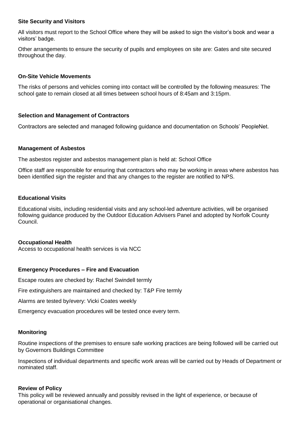## **Site Security and Visitors**

All visitors must report to the School Office where they will be asked to sign the visitor's book and wear a visitors' badge.

Other arrangements to ensure the security of pupils and employees on site are: Gates and site secured throughout the day.

## **On-Site Vehicle Movements**

The risks of persons and vehicles coming into contact will be controlled by the following measures: The school gate to remain closed at all times between school hours of 8:45am and 3:15pm.

## **Selection and Management of Contractors**

Contractors are selected and managed following guidance and documentation on Schools' PeopleNet.

## **Management of Asbestos**

The asbestos register and asbestos management plan is held at: School Office

Office staff are responsible for ensuring that contractors who may be working in areas where asbestos has been identified sign the register and that any changes to the register are notified to NPS.

## **Educational Visits**

Educational visits, including residential visits and any school-led adventure activities, will be organised following guidance produced by the Outdoor Education Advisers Panel and adopted by Norfolk County Council.

## **Occupational Health**

Access to occupational health services is via NCC

## **Emergency Procedures – Fire and Evacuation**

Escape routes are checked by: Rachel Swindell termly

Fire extinguishers are maintained and checked by: T&P Fire termly

Alarms are tested by/every: Vicki Coates weekly

Emergency evacuation procedures will be tested once every term.

## **Monitoring**

Routine inspections of the premises to ensure safe working practices are being followed will be carried out by Governors Buildings Committee

Inspections of individual departments and specific work areas will be carried out by Heads of Department or nominated staff.

## **Review of Policy**

This policy will be reviewed annually and possibly revised in the light of experience, or because of operational or organisational changes.